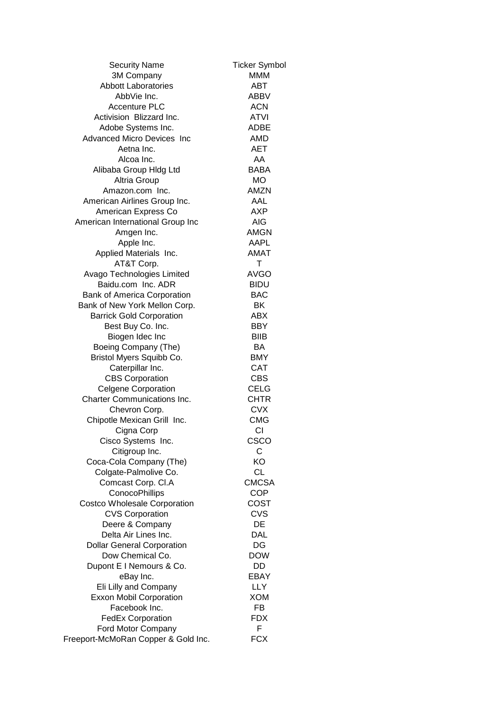| <b>Security Name</b>                | <b>Ticker Symbol</b> |
|-------------------------------------|----------------------|
| 3M Company                          | <b>MMM</b>           |
| <b>Abbott Laboratories</b>          | ABT                  |
| AbbVie Inc.                         | <b>ABBV</b>          |
| <b>Accenture PLC</b>                | <b>ACN</b>           |
| Activision Blizzard Inc.            | <b>ATVI</b>          |
| Adobe Systems Inc.                  | ADBE                 |
| <b>Advanced Micro Devices Inc</b>   | AMD                  |
| Aetna Inc.                          | <b>AET</b>           |
| Alcoa Inc.                          | AA                   |
| Alibaba Group Hldg Ltd              | <b>BABA</b>          |
| Altria Group                        | <b>MO</b>            |
| Amazon.com Inc.                     | <b>AMZN</b>          |
| American Airlines Group Inc.        | AAL                  |
| American Express Co                 | AXP                  |
|                                     | AIG                  |
| American International Group Inc    |                      |
| Amgen Inc.                          | AMGN                 |
| Apple Inc.                          | AAPL                 |
| Applied Materials Inc.              | <b>AMAT</b>          |
| AT&T Corp.                          | Т                    |
| Avago Technologies Limited          | <b>AVGO</b>          |
| Baidu.com Inc. ADR                  | <b>BIDU</b>          |
| <b>Bank of America Corporation</b>  | <b>BAC</b>           |
| Bank of New York Mellon Corp.       | BK                   |
| <b>Barrick Gold Corporation</b>     | ABX                  |
| Best Buy Co. Inc.                   | <b>BBY</b>           |
| Biogen Idec Inc                     | <b>BIIB</b>          |
| Boeing Company (The)                | BA                   |
| Bristol Myers Squibb Co.            | <b>BMY</b>           |
| Caterpillar Inc.                    | <b>CAT</b>           |
| <b>CBS Corporation</b>              | <b>CBS</b>           |
| <b>Celgene Corporation</b>          | <b>CELG</b>          |
| <b>Charter Communications Inc.</b>  | <b>CHTR</b>          |
| Chevron Corp.                       | <b>CVX</b>           |
| Chipotle Mexican Grill Inc.         | <b>CMG</b>           |
| Cigna Corp                          | СI                   |
| Cisco Systems Inc.                  | CSCO                 |
| Citigroup Inc.                      | С                    |
| Coca-Cola Company (The)             | KO                   |
| Colgate-Palmolive Co.               | <b>CL</b>            |
| Comcast Corp. Cl.A                  | <b>CMCSA</b>         |
| ConocoPhillips                      | <b>COP</b>           |
| <b>Costco Wholesale Corporation</b> | COST                 |
| <b>CVS Corporation</b>              | <b>CVS</b>           |
| Deere & Company                     | DE                   |
| Delta Air Lines Inc.                | <b>DAL</b>           |
| <b>Dollar General Corporation</b>   | DG                   |
| Dow Chemical Co.                    | <b>DOW</b>           |
| Dupont E I Nemours & Co.            | DD                   |
| eBay Inc.                           | EBAY                 |
| Eli Lilly and Company               | <b>LLY</b>           |
| <b>Exxon Mobil Corporation</b>      | <b>XOM</b>           |
| Facebook Inc.                       | <b>FB</b>            |
| <b>FedEx Corporation</b>            | <b>FDX</b>           |
| Ford Motor Company                  | F                    |
|                                     | <b>FCX</b>           |
| Freeport-McMoRan Copper & Gold Inc. |                      |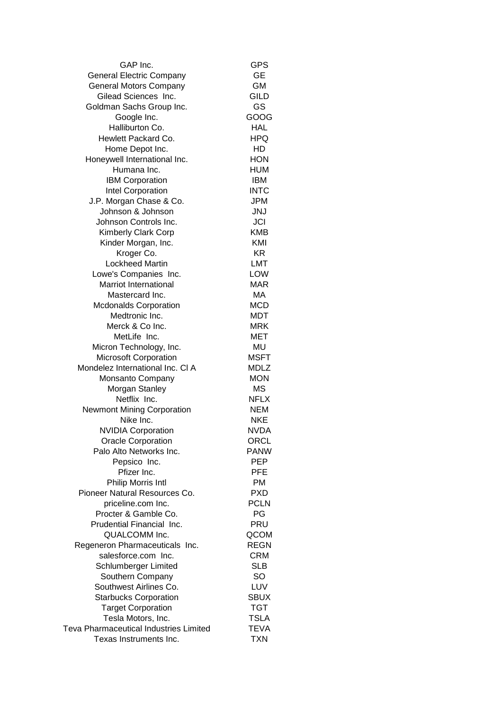| GAP Inc.                                      | <b>GPS</b>  |
|-----------------------------------------------|-------------|
| <b>General Electric Company</b>               | <b>GE</b>   |
| <b>General Motors Company</b>                 | GM          |
| Gilead Sciences Inc.                          | <b>GILD</b> |
| Goldman Sachs Group Inc.                      | GS          |
| Google Inc.                                   | GOOG        |
| Halliburton Co.                               | HAL         |
| Hewlett Packard Co.                           | HPQ         |
| Home Depot Inc.                               | HD          |
| Honeywell International Inc.                  | <b>HON</b>  |
| Humana Inc.                                   | <b>HUM</b>  |
| <b>IBM Corporation</b>                        | IBM         |
| Intel Corporation                             | <b>INTC</b> |
| J.P. Morgan Chase & Co.                       | <b>JPM</b>  |
| Johnson & Johnson                             | <b>JNJ</b>  |
| Johnson Controls Inc.                         | JCI         |
| Kimberly Clark Corp                           | <b>KMB</b>  |
| Kinder Morgan, Inc.                           | KMI         |
| Kroger Co.                                    | KR.         |
| <b>Lockheed Martin</b>                        | <b>LMT</b>  |
| Lowe's Companies Inc.                         | LOW         |
| <b>Marriot International</b>                  | <b>MAR</b>  |
| Mastercard Inc.                               | МA          |
| <b>Mcdonalds Corporation</b>                  | <b>MCD</b>  |
| Medtronic Inc.                                | <b>MDT</b>  |
| Merck & Co Inc.                               | MRK         |
| MetLife Inc.                                  | MET         |
| Micron Technology, Inc.                       | MU          |
| <b>Microsoft Corporation</b>                  | <b>MSFT</b> |
| Mondelez International Inc. CI A              | <b>MDLZ</b> |
| Monsanto Company                              | <b>MON</b>  |
| Morgan Stanley                                | <b>MS</b>   |
| Netflix Inc.                                  | <b>NFLX</b> |
| <b>Newmont Mining Corporation</b>             | NEM         |
| Nike Inc.                                     | <b>NKE</b>  |
| <b>NVIDIA Corporation</b>                     | NVDA        |
| <b>Oracle Corporation</b>                     | ORCL        |
| Palo Alto Networks Inc.                       | <b>PANW</b> |
| Pepsico Inc.                                  | PEP         |
| Pfizer Inc.                                   | <b>PFE</b>  |
| Philip Morris Intl                            | PM          |
| Pioneer Natural Resources Co.                 | <b>PXD</b>  |
| priceline.com Inc.                            | <b>PCLN</b> |
| Procter & Gamble Co.                          | PG          |
| Prudential Financial Inc.                     | PRU         |
| QUALCOMM Inc.                                 | QCOM        |
| Regeneron Pharmaceuticals Inc.                | <b>REGN</b> |
| salesforce.com Inc.                           | CRM         |
| Schlumberger Limited                          | SLB         |
| Southern Company                              | SO          |
| Southwest Airlines Co.                        | LUV         |
| <b>Starbucks Corporation</b>                  | SBUX        |
| <b>Target Corporation</b>                     | <b>TGT</b>  |
| Tesla Motors, Inc.                            | <b>TSLA</b> |
| <b>Teva Pharmaceutical Industries Limited</b> | <b>TEVA</b> |
| Texas Instruments Inc.                        | <b>TXN</b>  |